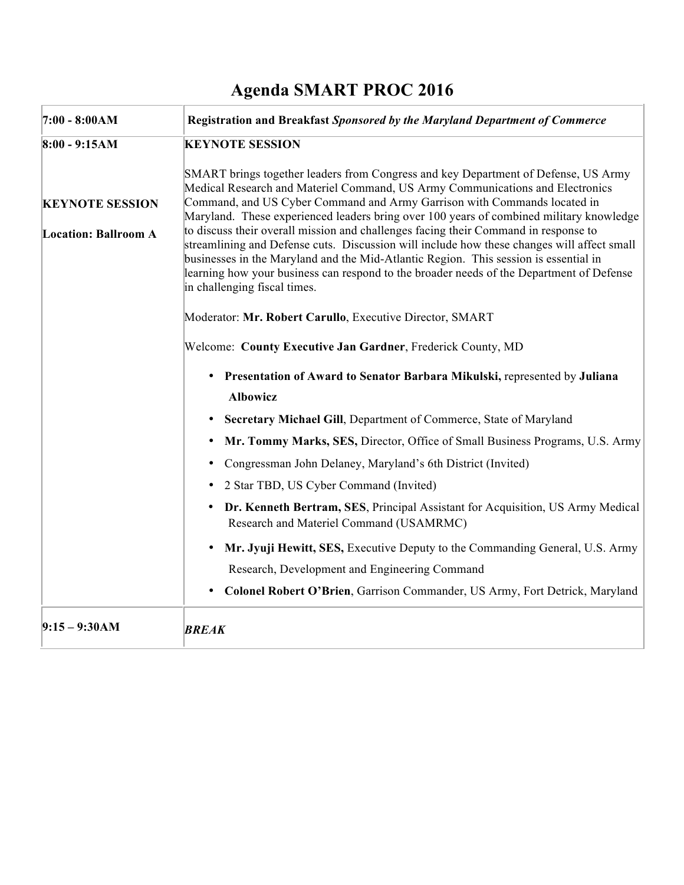## **Agenda SMART PROC 2016**

| $7:00 - 8:00AM$             | Registration and Breakfast Sponsored by the Maryland Department of Commerce                                                                                                                                                                                                                                                                                                                           |
|-----------------------------|-------------------------------------------------------------------------------------------------------------------------------------------------------------------------------------------------------------------------------------------------------------------------------------------------------------------------------------------------------------------------------------------------------|
| $8:00 - 9:15AM$             | <b>KEYNOTE SESSION</b>                                                                                                                                                                                                                                                                                                                                                                                |
|                             | SMART brings together leaders from Congress and key Department of Defense, US Army<br>Medical Research and Materiel Command, US Army Communications and Electronics<br>Command, and US Cyber Command and Army Garrison with Commands located in                                                                                                                                                       |
| <b>KEYNOTE SESSION</b>      | Maryland. These experienced leaders bring over 100 years of combined military knowledge                                                                                                                                                                                                                                                                                                               |
| <b>Location: Ballroom A</b> | to discuss their overall mission and challenges facing their Command in response to<br>streamlining and Defense cuts. Discussion will include how these changes will affect small<br>businesses in the Maryland and the Mid-Atlantic Region. This session is essential in<br>learning how your business can respond to the broader needs of the Department of Defense<br>in challenging fiscal times. |
|                             | Moderator: Mr. Robert Carullo, Executive Director, SMART                                                                                                                                                                                                                                                                                                                                              |
|                             | Welcome: County Executive Jan Gardner, Frederick County, MD                                                                                                                                                                                                                                                                                                                                           |
|                             | • Presentation of Award to Senator Barbara Mikulski, represented by Juliana                                                                                                                                                                                                                                                                                                                           |
|                             | <b>Albowicz</b>                                                                                                                                                                                                                                                                                                                                                                                       |
|                             | Secretary Michael Gill, Department of Commerce, State of Maryland<br>$\bullet$                                                                                                                                                                                                                                                                                                                        |
|                             | Mr. Tommy Marks, SES, Director, Office of Small Business Programs, U.S. Army<br>$\bullet$                                                                                                                                                                                                                                                                                                             |
|                             | Congressman John Delaney, Maryland's 6th District (Invited)<br>$\bullet$                                                                                                                                                                                                                                                                                                                              |
|                             | 2 Star TBD, US Cyber Command (Invited)<br>٠                                                                                                                                                                                                                                                                                                                                                           |
|                             | Dr. Kenneth Bertram, SES, Principal Assistant for Acquisition, US Army Medical<br>$\bullet$<br>Research and Materiel Command (USAMRMC)                                                                                                                                                                                                                                                                |
|                             | Mr. Jyuji Hewitt, SES, Executive Deputy to the Commanding General, U.S. Army<br>$\bullet$                                                                                                                                                                                                                                                                                                             |
|                             | Research, Development and Engineering Command                                                                                                                                                                                                                                                                                                                                                         |
|                             | <b>Colonel Robert O'Brien, Garrison Commander, US Army, Fort Detrick, Maryland</b><br>$\bullet$                                                                                                                                                                                                                                                                                                       |
| $9:15 - 9:30AM$             | <b>BREAK</b>                                                                                                                                                                                                                                                                                                                                                                                          |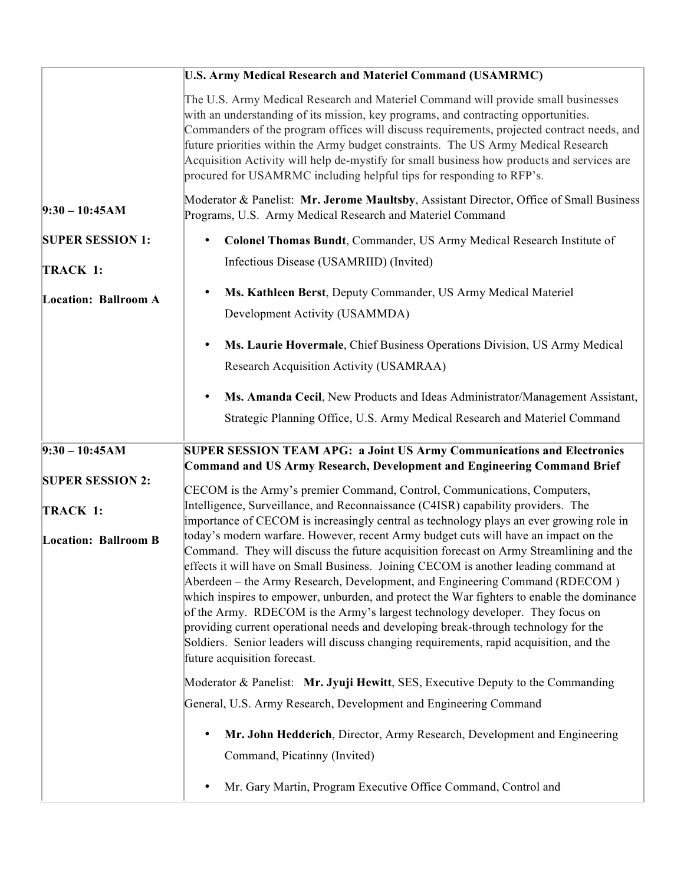|                             | <b>U.S. Army Medical Research and Materiel Command (USAMRMC)</b>                                                                                                                                                                                                                                                                                                                                                                                                                                                                                                                                                                                                                                                                                     |
|-----------------------------|------------------------------------------------------------------------------------------------------------------------------------------------------------------------------------------------------------------------------------------------------------------------------------------------------------------------------------------------------------------------------------------------------------------------------------------------------------------------------------------------------------------------------------------------------------------------------------------------------------------------------------------------------------------------------------------------------------------------------------------------------|
|                             | The U.S. Army Medical Research and Materiel Command will provide small businesses<br>with an understanding of its mission, key programs, and contracting opportunities.<br>Commanders of the program offices will discuss requirements, projected contract needs, and<br>future priorities within the Army budget constraints. The US Army Medical Research<br>Acquisition Activity will help de-mystify for small business how products and services are<br>procured for USAMRMC including helpful tips for responding to RFP's.                                                                                                                                                                                                                    |
| $9:30 - 10:45AM$            | Moderator & Panelist: Mr. Jerome Maultsby, Assistant Director, Office of Small Business<br>Programs, U.S. Army Medical Research and Materiel Command                                                                                                                                                                                                                                                                                                                                                                                                                                                                                                                                                                                                 |
| <b>SUPER SESSION 1:</b>     | Colonel Thomas Bundt, Commander, US Army Medical Research Institute of<br>٠                                                                                                                                                                                                                                                                                                                                                                                                                                                                                                                                                                                                                                                                          |
| TRACK 1:                    | Infectious Disease (USAMRIID) (Invited)                                                                                                                                                                                                                                                                                                                                                                                                                                                                                                                                                                                                                                                                                                              |
| <b>Location: Ballroom A</b> | Ms. Kathleen Berst, Deputy Commander, US Army Medical Materiel<br>$\bullet$<br>Development Activity (USAMMDA)                                                                                                                                                                                                                                                                                                                                                                                                                                                                                                                                                                                                                                        |
|                             | Ms. Laurie Hovermale, Chief Business Operations Division, US Army Medical<br>$\bullet$<br>Research Acquisition Activity (USAMRAA)                                                                                                                                                                                                                                                                                                                                                                                                                                                                                                                                                                                                                    |
|                             | Ms. Amanda Cecil, New Products and Ideas Administrator/Management Assistant,<br>$\bullet$                                                                                                                                                                                                                                                                                                                                                                                                                                                                                                                                                                                                                                                            |
|                             | Strategic Planning Office, U.S. Army Medical Research and Materiel Command                                                                                                                                                                                                                                                                                                                                                                                                                                                                                                                                                                                                                                                                           |
| $9:30 - 10:45AM$            | SUPER SESSION TEAM APG: a Joint US Army Communications and Electronics<br><b>Command and US Army Research, Development and Engineering Command Brief</b>                                                                                                                                                                                                                                                                                                                                                                                                                                                                                                                                                                                             |
| <b>SUPER SESSION 2:</b>     | CECOM is the Army's premier Command, Control, Communications, Computers,                                                                                                                                                                                                                                                                                                                                                                                                                                                                                                                                                                                                                                                                             |
| TRACK 1:                    | Intelligence, Surveillance, and Reconnaissance (C4ISR) capability providers. The<br>importance of CECOM is increasingly central as technology plays an ever growing role in                                                                                                                                                                                                                                                                                                                                                                                                                                                                                                                                                                          |
| <b>Location: Ballroom B</b> | today's modern warfare. However, recent Army budget cuts will have an impact on the<br>Command. They will discuss the future acquisition forecast on Army Streamlining and the<br>effects it will have on Small Business. Joining CECOM is another leading command at<br>Aberdeen – the Army Research, Development, and Engineering Command (RDECOM)<br>which inspires to empower, unburden, and protect the War fighters to enable the dominance<br>of the Army. RDECOM is the Army's largest technology developer. They focus on<br>providing current operational needs and developing break-through technology for the<br>Soldiers. Senior leaders will discuss changing requirements, rapid acquisition, and the<br>future acquisition forecast. |
|                             | Moderator & Panelist: Mr. Jyuji Hewitt, SES, Executive Deputy to the Commanding                                                                                                                                                                                                                                                                                                                                                                                                                                                                                                                                                                                                                                                                      |
|                             | General, U.S. Army Research, Development and Engineering Command                                                                                                                                                                                                                                                                                                                                                                                                                                                                                                                                                                                                                                                                                     |
|                             | Mr. John Hedderich, Director, Army Research, Development and Engineering<br>٠<br>Command, Picatinny (Invited)                                                                                                                                                                                                                                                                                                                                                                                                                                                                                                                                                                                                                                        |
|                             | Mr. Gary Martin, Program Executive Office Command, Control and<br>٠                                                                                                                                                                                                                                                                                                                                                                                                                                                                                                                                                                                                                                                                                  |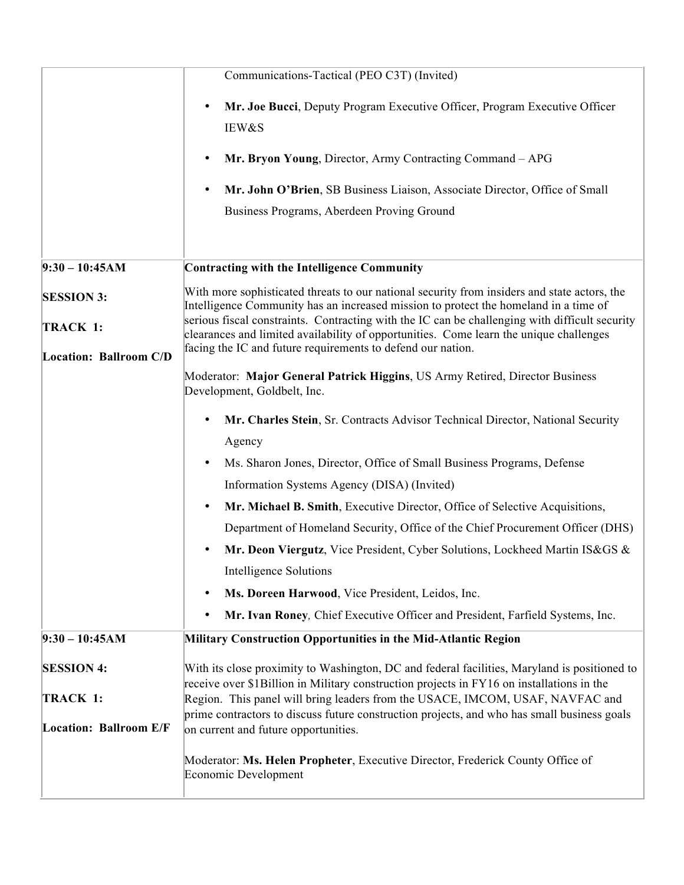|                               | Communications-Tactical (PEO C3T) (Invited)                                                                                                                                                                                                             |
|-------------------------------|---------------------------------------------------------------------------------------------------------------------------------------------------------------------------------------------------------------------------------------------------------|
|                               | Mr. Joe Bucci, Deputy Program Executive Officer, Program Executive Officer<br>$\bullet$<br>IEW&S                                                                                                                                                        |
|                               | Mr. Bryon Young, Director, Army Contracting Command - APG                                                                                                                                                                                               |
|                               | Mr. John O'Brien, SB Business Liaison, Associate Director, Office of Small                                                                                                                                                                              |
|                               | Business Programs, Aberdeen Proving Ground                                                                                                                                                                                                              |
| $9:30 - 10:45AM$              | <b>Contracting with the Intelligence Community</b>                                                                                                                                                                                                      |
| <b>SESSION 3:</b>             | With more sophisticated threats to our national security from insiders and state actors, the<br>Intelligence Community has an increased mission to protect the homeland in a time of                                                                    |
| TRACK 1:                      | serious fiscal constraints. Contracting with the IC can be challenging with difficult security<br>clearances and limited availability of opportunities. Come learn the unique challenges<br>facing the IC and future requirements to defend our nation. |
| <b>Location: Ballroom C/D</b> | Moderator: Major General Patrick Higgins, US Army Retired, Director Business<br>Development, Goldbelt, Inc.                                                                                                                                             |
|                               | Mr. Charles Stein, Sr. Contracts Advisor Technical Director, National Security<br>Agency                                                                                                                                                                |
|                               | Ms. Sharon Jones, Director, Office of Small Business Programs, Defense                                                                                                                                                                                  |
|                               | Information Systems Agency (DISA) (Invited)                                                                                                                                                                                                             |
|                               | Mr. Michael B. Smith, Executive Director, Office of Selective Acquisitions,                                                                                                                                                                             |
|                               | Department of Homeland Security, Office of the Chief Procurement Officer (DHS)                                                                                                                                                                          |
|                               | Mr. Deon Viergutz, Vice President, Cyber Solutions, Lockheed Martin IS&GS &<br>٠                                                                                                                                                                        |
|                               | <b>Intelligence Solutions</b>                                                                                                                                                                                                                           |
|                               | Ms. Doreen Harwood, Vice President, Leidos, Inc.<br>$\bullet$                                                                                                                                                                                           |
|                               | Mr. Ivan Roney, Chief Executive Officer and President, Farfield Systems, Inc.<br>٠                                                                                                                                                                      |
| $9:30 - 10:45AM$              | Military Construction Opportunities in the Mid-Atlantic Region                                                                                                                                                                                          |
| <b>SESSION 4:</b>             | With its close proximity to Washington, DC and federal facilities, Maryland is positioned to<br>receive over \$1Billion in Military construction projects in FY16 on installations in the                                                               |
| TRACK 1:                      | Region. This panel will bring leaders from the USACE, IMCOM, USAF, NAVFAC and<br>prime contractors to discuss future construction projects, and who has small business goals                                                                            |
| <b>Location: Ballroom E/F</b> | on current and future opportunities.                                                                                                                                                                                                                    |
|                               | Moderator: Ms. Helen Propheter, Executive Director, Frederick County Office of<br>Economic Development                                                                                                                                                  |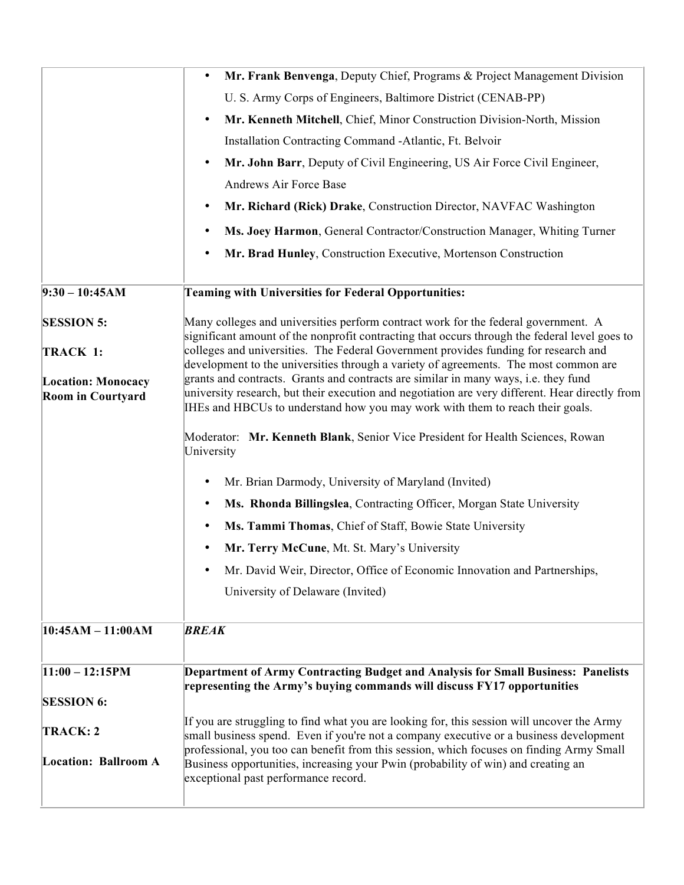|                                                       | Mr. Frank Benvenga, Deputy Chief, Programs & Project Management Division<br>$\bullet$                                                                                                  |
|-------------------------------------------------------|----------------------------------------------------------------------------------------------------------------------------------------------------------------------------------------|
|                                                       | U. S. Army Corps of Engineers, Baltimore District (CENAB-PP)                                                                                                                           |
|                                                       | Mr. Kenneth Mitchell, Chief, Minor Construction Division-North, Mission<br>$\bullet$                                                                                                   |
|                                                       | Installation Contracting Command -Atlantic, Ft. Belvoir                                                                                                                                |
|                                                       | Mr. John Barr, Deputy of Civil Engineering, US Air Force Civil Engineer,<br>$\bullet$                                                                                                  |
|                                                       | Andrews Air Force Base                                                                                                                                                                 |
|                                                       | Mr. Richard (Rick) Drake, Construction Director, NAVFAC Washington<br>٠                                                                                                                |
|                                                       | Ms. Joey Harmon, General Contractor/Construction Manager, Whiting Turner<br>٠                                                                                                          |
|                                                       | Mr. Brad Hunley, Construction Executive, Mortenson Construction<br>$\bullet$                                                                                                           |
| $9:30 - 10:45AM$                                      | <b>Teaming with Universities for Federal Opportunities:</b>                                                                                                                            |
| <b>SESSION 5:</b>                                     | Many colleges and universities perform contract work for the federal government. A                                                                                                     |
| TRACK 1:                                              | significant amount of the nonprofit contracting that occurs through the federal level goes to<br>colleges and universities. The Federal Government provides funding for research and   |
|                                                       | development to the universities through a variety of agreements. The most common are                                                                                                   |
| <b>Location: Monocacy</b><br><b>Room in Courtyard</b> | grants and contracts. Grants and contracts are similar in many ways, i.e. they fund<br>university research, but their execution and negotiation are very different. Hear directly from |
|                                                       | IHEs and HBCUs to understand how you may work with them to reach their goals.                                                                                                          |
|                                                       | Moderator: Mr. Kenneth Blank, Senior Vice President for Health Sciences, Rowan<br>University                                                                                           |
|                                                       | Mr. Brian Darmody, University of Maryland (Invited)<br>٠                                                                                                                               |
|                                                       | Ms. Rhonda Billingslea, Contracting Officer, Morgan State University<br>٠                                                                                                              |
|                                                       | Ms. Tammi Thomas, Chief of Staff, Bowie State University<br>٠                                                                                                                          |
|                                                       | Mr. Terry McCune, Mt. St. Mary's University                                                                                                                                            |
|                                                       | Mr. David Weir, Director, Office of Economic Innovation and Partnerships,                                                                                                              |
|                                                       | University of Delaware (Invited)                                                                                                                                                       |
| $ 10:45AM - 11:00AM$                                  | <b>BREAK</b>                                                                                                                                                                           |
|                                                       |                                                                                                                                                                                        |
| $11:00 - 12:15$ PM                                    | Department of Army Contracting Budget and Analysis for Small Business: Panelists<br>representing the Army's buying commands will discuss FY17 opportunities                            |
| <b>SESSION 6:</b>                                     |                                                                                                                                                                                        |
| TRACK: 2                                              | If you are struggling to find what you are looking for, this session will uncover the Army<br>small business spend. Even if you're not a company executive or a business development   |
|                                                       | professional, you too can benefit from this session, which focuses on finding Army Small                                                                                               |
| Location: Ballroom A                                  | Business opportunities, increasing your Pwin (probability of win) and creating an<br>exceptional past performance record.                                                              |
|                                                       |                                                                                                                                                                                        |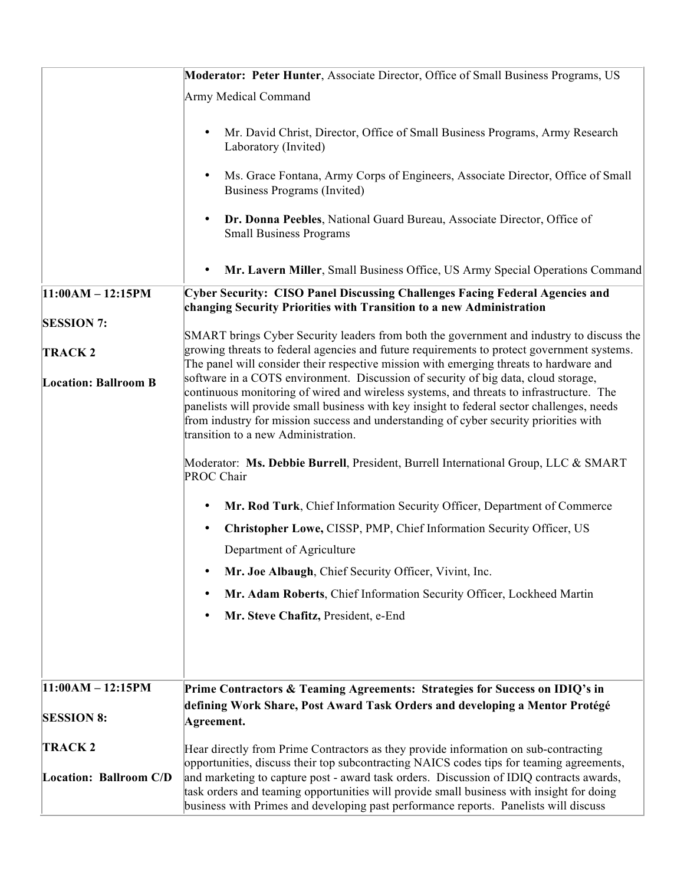|                               | <b>Moderator: Peter Hunter, Associate Director, Office of Small Business Programs, US</b>                                                                                                                                                                                                                                                                                                                   |
|-------------------------------|-------------------------------------------------------------------------------------------------------------------------------------------------------------------------------------------------------------------------------------------------------------------------------------------------------------------------------------------------------------------------------------------------------------|
|                               | Army Medical Command                                                                                                                                                                                                                                                                                                                                                                                        |
|                               | Mr. David Christ, Director, Office of Small Business Programs, Army Research<br>$\bullet$<br>Laboratory (Invited)                                                                                                                                                                                                                                                                                           |
|                               | Ms. Grace Fontana, Army Corps of Engineers, Associate Director, Office of Small<br>$\bullet$<br>Business Programs (Invited)                                                                                                                                                                                                                                                                                 |
|                               | Dr. Donna Peebles, National Guard Bureau, Associate Director, Office of<br><b>Small Business Programs</b>                                                                                                                                                                                                                                                                                                   |
|                               | Mr. Lavern Miller, Small Business Office, US Army Special Operations Command<br>$\bullet$                                                                                                                                                                                                                                                                                                                   |
| $11:00AM - 12:15PM$           | <b>Cyber Security: CISO Panel Discussing Challenges Facing Federal Agencies and</b><br>changing Security Priorities with Transition to a new Administration                                                                                                                                                                                                                                                 |
| <b>SESSION 7:</b>             | SMART brings Cyber Security leaders from both the government and industry to discuss the                                                                                                                                                                                                                                                                                                                    |
| <b>TRACK2</b>                 | growing threats to federal agencies and future requirements to protect government systems.<br>The panel will consider their respective mission with emerging threats to hardware and                                                                                                                                                                                                                        |
| <b>Location: Ballroom B</b>   | software in a COTS environment. Discussion of security of big data, cloud storage,<br>continuous monitoring of wired and wireless systems, and threats to infrastructure. The<br>panelists will provide small business with key insight to federal sector challenges, needs<br>from industry for mission success and understanding of cyber security priorities with<br>transition to a new Administration. |
|                               | Moderator: Ms. Debbie Burrell, President, Burrell International Group, LLC & SMART<br>PROC Chair                                                                                                                                                                                                                                                                                                            |
|                               | Mr. Rod Turk, Chief Information Security Officer, Department of Commerce<br>$\bullet$                                                                                                                                                                                                                                                                                                                       |
|                               | Christopher Lowe, CISSP, PMP, Chief Information Security Officer, US<br>$\bullet$                                                                                                                                                                                                                                                                                                                           |
|                               | Department of Agriculture                                                                                                                                                                                                                                                                                                                                                                                   |
|                               | Mr. Joe Albaugh, Chief Security Officer, Vivint, Inc.<br>$\bullet$                                                                                                                                                                                                                                                                                                                                          |
|                               | Mr. Adam Roberts, Chief Information Security Officer, Lockheed Martin                                                                                                                                                                                                                                                                                                                                       |
|                               | Mr. Steve Chafitz, President, e-End<br>$\bullet$                                                                                                                                                                                                                                                                                                                                                            |
|                               |                                                                                                                                                                                                                                                                                                                                                                                                             |
| $11:00AM - 12:15PM$           | Prime Contractors & Teaming Agreements: Strategies for Success on IDIQ's in                                                                                                                                                                                                                                                                                                                                 |
| <b>SESSION 8:</b>             | defining Work Share, Post Award Task Orders and developing a Mentor Protégé<br>Agreement.                                                                                                                                                                                                                                                                                                                   |
| <b>TRACK2</b>                 | Hear directly from Prime Contractors as they provide information on sub-contracting                                                                                                                                                                                                                                                                                                                         |
| <b>Location: Ballroom C/D</b> | opportunities, discuss their top subcontracting NAICS codes tips for teaming agreements,<br>and marketing to capture post - award task orders. Discussion of IDIQ contracts awards,<br>task orders and teaming opportunities will provide small business with insight for doing<br>business with Primes and developing past performance reports. Panelists will discuss                                     |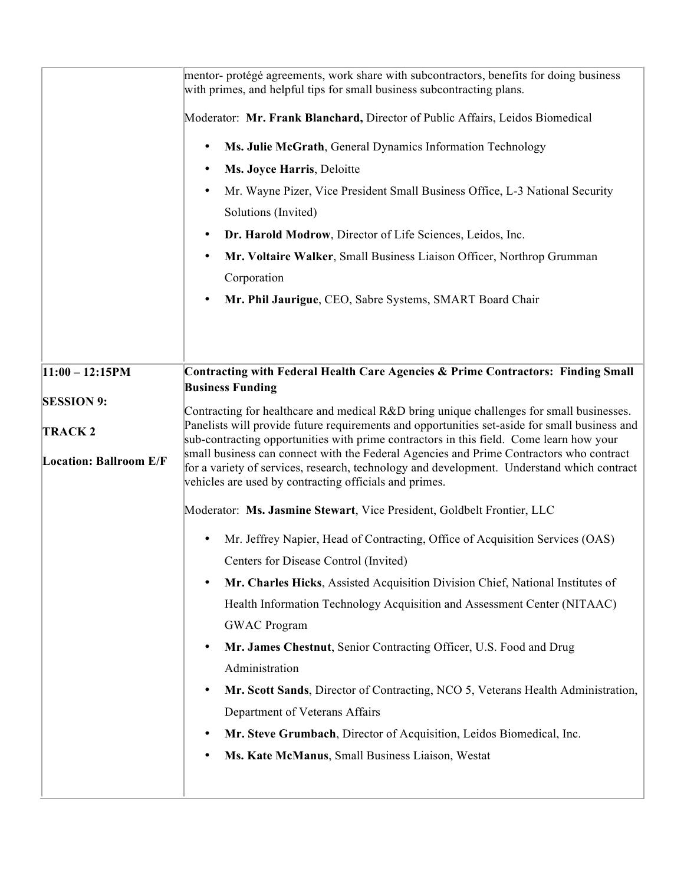|                               | mentor- protégé agreements, work share with subcontractors, benefits for doing business<br>with primes, and helpful tips for small business subcontracting plans.                                                                                                                                                                          |
|-------------------------------|--------------------------------------------------------------------------------------------------------------------------------------------------------------------------------------------------------------------------------------------------------------------------------------------------------------------------------------------|
|                               | Moderator: Mr. Frank Blanchard, Director of Public Affairs, Leidos Biomedical                                                                                                                                                                                                                                                              |
|                               | Ms. Julie McGrath, General Dynamics Information Technology<br>$\bullet$                                                                                                                                                                                                                                                                    |
|                               | Ms. Joyce Harris, Deloitte                                                                                                                                                                                                                                                                                                                 |
|                               | Mr. Wayne Pizer, Vice President Small Business Office, L-3 National Security<br>Solutions (Invited)                                                                                                                                                                                                                                        |
|                               | Dr. Harold Modrow, Director of Life Sciences, Leidos, Inc.<br>$\bullet$                                                                                                                                                                                                                                                                    |
|                               | Mr. Voltaire Walker, Small Business Liaison Officer, Northrop Grumman                                                                                                                                                                                                                                                                      |
|                               | Corporation                                                                                                                                                                                                                                                                                                                                |
|                               | Mr. Phil Jaurigue, CEO, Sabre Systems, SMART Board Chair<br>$\bullet$                                                                                                                                                                                                                                                                      |
|                               |                                                                                                                                                                                                                                                                                                                                            |
|                               |                                                                                                                                                                                                                                                                                                                                            |
| $11:00 - 12:15PM$             | Contracting with Federal Health Care Agencies & Prime Contractors: Finding Small<br><b>Business Funding</b>                                                                                                                                                                                                                                |
| <b>SESSION 9:</b>             | Contracting for healthcare and medical R&D bring unique challenges for small businesses.                                                                                                                                                                                                                                                   |
| <b>TRACK2</b>                 | Panelists will provide future requirements and opportunities set-aside for small business and                                                                                                                                                                                                                                              |
| <b>Location: Ballroom E/F</b> | sub-contracting opportunities with prime contractors in this field. Come learn how your<br>small business can connect with the Federal Agencies and Prime Contractors who contract<br>for a variety of services, research, technology and development. Understand which contract<br>vehicles are used by contracting officials and primes. |
|                               | Moderator: Ms. Jasmine Stewart, Vice President, Goldbelt Frontier, LLC                                                                                                                                                                                                                                                                     |
|                               | Mr. Jeffrey Napier, Head of Contracting, Office of Acquisition Services (OAS)                                                                                                                                                                                                                                                              |
|                               | Centers for Disease Control (Invited)                                                                                                                                                                                                                                                                                                      |
|                               | Mr. Charles Hicks, Assisted Acquisition Division Chief, National Institutes of<br>$\bullet$                                                                                                                                                                                                                                                |
|                               | Health Information Technology Acquisition and Assessment Center (NITAAC)                                                                                                                                                                                                                                                                   |
|                               | <b>GWAC Program</b>                                                                                                                                                                                                                                                                                                                        |
|                               | Mr. James Chestnut, Senior Contracting Officer, U.S. Food and Drug<br>$\bullet$<br>Administration                                                                                                                                                                                                                                          |
|                               | Mr. Scott Sands, Director of Contracting, NCO 5, Veterans Health Administration,<br>$\bullet$                                                                                                                                                                                                                                              |
|                               | Department of Veterans Affairs                                                                                                                                                                                                                                                                                                             |
|                               | Mr. Steve Grumbach, Director of Acquisition, Leidos Biomedical, Inc.<br>٠                                                                                                                                                                                                                                                                  |
|                               | Ms. Kate McManus, Small Business Liaison, Westat                                                                                                                                                                                                                                                                                           |
|                               |                                                                                                                                                                                                                                                                                                                                            |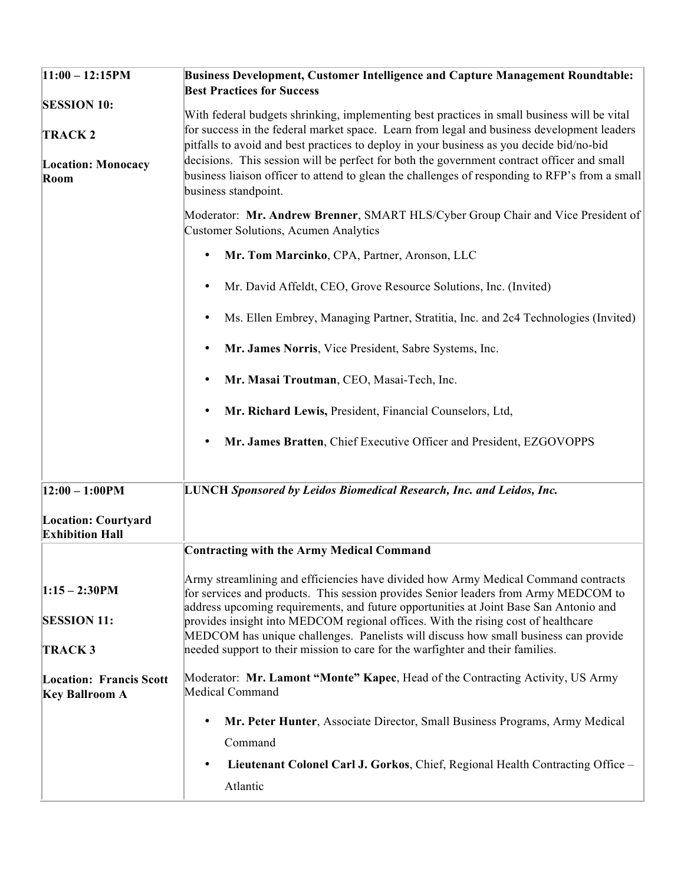| $11:00 - 12:15PM$                                                        | Business Development, Customer Intelligence and Capture Management Roundtable:<br><b>Best Practices for Success</b>                                                                                                                                                                                                                                                                                                                                                                                           |
|--------------------------------------------------------------------------|---------------------------------------------------------------------------------------------------------------------------------------------------------------------------------------------------------------------------------------------------------------------------------------------------------------------------------------------------------------------------------------------------------------------------------------------------------------------------------------------------------------|
| <b>SESSION 10:</b><br><b>TRACK2</b><br><b>Location: Monocacy</b><br>Room | With federal budgets shrinking, implementing best practices in small business will be vital<br>for success in the federal market space. Learn from legal and business development leaders<br>pitfalls to avoid and best practices to deploy in your business as you decide bid/no-bid<br>decisions. This session will be perfect for both the government contract officer and small<br>business liaison officer to attend to glean the challenges of responding to RFP's from a small<br>business standpoint. |
|                                                                          | Moderator: Mr. Andrew Brenner, SMART HLS/Cyber Group Chair and Vice President of<br>Customer Solutions, Acumen Analytics                                                                                                                                                                                                                                                                                                                                                                                      |
|                                                                          | Mr. Tom Marcinko, CPA, Partner, Aronson, LLC<br>$\bullet$                                                                                                                                                                                                                                                                                                                                                                                                                                                     |
|                                                                          | Mr. David Affeldt, CEO, Grove Resource Solutions, Inc. (Invited)<br>$\bullet$                                                                                                                                                                                                                                                                                                                                                                                                                                 |
|                                                                          | Ms. Ellen Embrey, Managing Partner, Stratitia, Inc. and 2c4 Technologies (Invited)                                                                                                                                                                                                                                                                                                                                                                                                                            |
|                                                                          | Mr. James Norris, Vice President, Sabre Systems, Inc.<br>$\bullet$                                                                                                                                                                                                                                                                                                                                                                                                                                            |
|                                                                          | Mr. Masai Troutman, CEO, Masai-Tech, Inc.<br>$\bullet$                                                                                                                                                                                                                                                                                                                                                                                                                                                        |
|                                                                          | Mr. Richard Lewis, President, Financial Counselors, Ltd,                                                                                                                                                                                                                                                                                                                                                                                                                                                      |
|                                                                          | Mr. James Bratten, Chief Executive Officer and President, EZGOVOPPS                                                                                                                                                                                                                                                                                                                                                                                                                                           |
| $ 12:00 - 1:00$ PM                                                       | <b>LUNCH Sponsored by Leidos Biomedical Research, Inc. and Leidos, Inc.</b>                                                                                                                                                                                                                                                                                                                                                                                                                                   |
| <b>Location: Courtyard</b><br><b>Exhibition Hall</b>                     |                                                                                                                                                                                                                                                                                                                                                                                                                                                                                                               |
|                                                                          | <b>Contracting with the Army Medical Command</b>                                                                                                                                                                                                                                                                                                                                                                                                                                                              |
| $1:15 - 2:30$ PM                                                         | Army streamlining and efficiencies have divided how Army Medical Command contracts<br>for services and products. This session provides Senior leaders from Army MEDCOM to<br>address upcoming requirements, and future opportunities at Joint Base San Antonio and                                                                                                                                                                                                                                            |
| <b>SESSION 11:</b>                                                       | provides insight into MEDCOM regional offices. With the rising cost of healthcare<br>MEDCOM has unique challenges. Panelists will discuss how small business can provide                                                                                                                                                                                                                                                                                                                                      |
| <b>TRACK3</b>                                                            | needed support to their mission to care for the warfighter and their families.                                                                                                                                                                                                                                                                                                                                                                                                                                |
| <b>Location: Francis Scott</b><br><b>Key Ballroom A</b>                  | Moderator: Mr. Lamont "Monte" Kapec, Head of the Contracting Activity, US Army<br>Medical Command                                                                                                                                                                                                                                                                                                                                                                                                             |
|                                                                          | Mr. Peter Hunter, Associate Director, Small Business Programs, Army Medical<br>$\bullet$                                                                                                                                                                                                                                                                                                                                                                                                                      |
|                                                                          | Command                                                                                                                                                                                                                                                                                                                                                                                                                                                                                                       |
|                                                                          | Lieutenant Colonel Carl J. Gorkos, Chief, Regional Health Contracting Office -<br>$\bullet$                                                                                                                                                                                                                                                                                                                                                                                                                   |
|                                                                          | Atlantic                                                                                                                                                                                                                                                                                                                                                                                                                                                                                                      |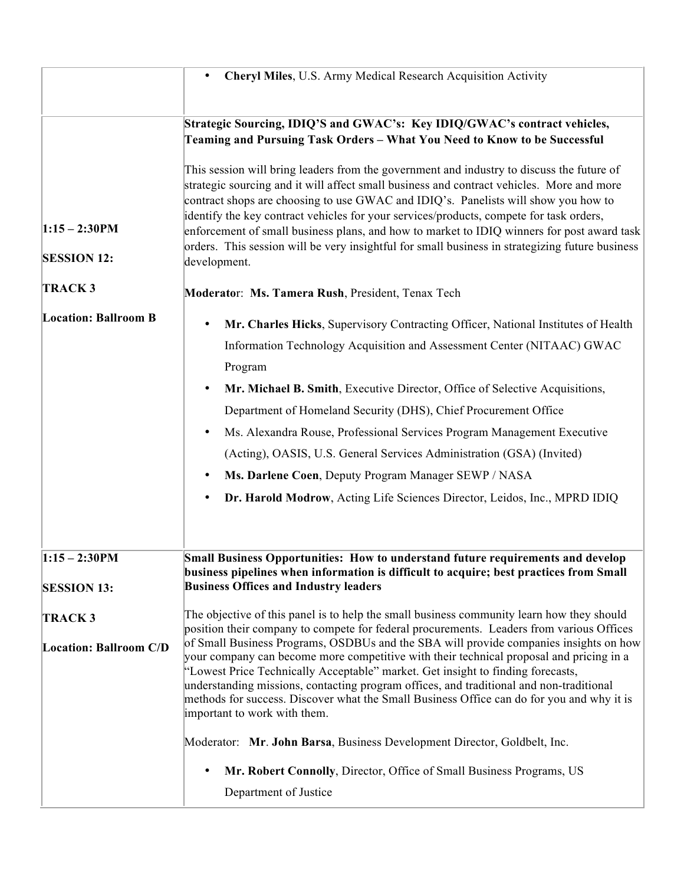|                                        | Cheryl Miles, U.S. Army Medical Research Acquisition Activity                                                                                                                                                                                                                                                                                                                                                                                                                                                                                                                                                                                            |
|----------------------------------------|----------------------------------------------------------------------------------------------------------------------------------------------------------------------------------------------------------------------------------------------------------------------------------------------------------------------------------------------------------------------------------------------------------------------------------------------------------------------------------------------------------------------------------------------------------------------------------------------------------------------------------------------------------|
|                                        | Strategic Sourcing, IDIQ'S and GWAC's: Key IDIQ/GWAC's contract vehicles,<br>Teaming and Pursuing Task Orders - What You Need to Know to be Successful                                                                                                                                                                                                                                                                                                                                                                                                                                                                                                   |
| $1:15 - 2:30$ PM<br><b>SESSION 12:</b> | This session will bring leaders from the government and industry to discuss the future of<br>strategic sourcing and it will affect small business and contract vehicles. More and more<br>contract shops are choosing to use GWAC and IDIQ's. Panelists will show you how to<br>identify the key contract vehicles for your services/products, compete for task orders,<br>enforcement of small business plans, and how to market to IDIQ winners for post award task<br>orders. This session will be very insightful for small business in strategizing future business<br>development.                                                                 |
| <b>TRACK3</b>                          | Moderator: Ms. Tamera Rush, President, Tenax Tech                                                                                                                                                                                                                                                                                                                                                                                                                                                                                                                                                                                                        |
| <b>Location: Ballroom B</b>            | Mr. Charles Hicks, Supervisory Contracting Officer, National Institutes of Health<br>$\bullet$<br>Information Technology Acquisition and Assessment Center (NITAAC) GWAC<br>Program<br>Mr. Michael B. Smith, Executive Director, Office of Selective Acquisitions,<br>$\bullet$<br>Department of Homeland Security (DHS), Chief Procurement Office<br>Ms. Alexandra Rouse, Professional Services Program Management Executive<br>(Acting), OASIS, U.S. General Services Administration (GSA) (Invited)<br>Ms. Darlene Coen, Deputy Program Manager SEWP / NASA<br>Dr. Harold Modrow, Acting Life Sciences Director, Leidos, Inc., MPRD IDIQ<br>$\bullet$ |
| $1:15 - 2:30$ PM                       | <b>Small Business Opportunities: How to understand future requirements and develop</b><br>business pipelines when information is difficult to acquire; best practices from Small                                                                                                                                                                                                                                                                                                                                                                                                                                                                         |
| <b>SESSION 13:</b>                     | <b>Business Offices and Industry leaders</b>                                                                                                                                                                                                                                                                                                                                                                                                                                                                                                                                                                                                             |
| <b>TRACK3</b>                          | The objective of this panel is to help the small business community learn how they should<br>position their company to compete for federal procurements. Leaders from various Offices                                                                                                                                                                                                                                                                                                                                                                                                                                                                    |
| <b>Location: Ballroom C/D</b>          | of Small Business Programs, OSDBUs and the SBA will provide companies insights on how<br>your company can become more competitive with their technical proposal and pricing in a<br>"Lowest Price Technically Acceptable" market. Get insight to finding forecasts,<br>understanding missions, contacting program offices, and traditional and non-traditional<br>methods for success. Discover what the Small Business Office can do for you and why it is<br>important to work with them.                                                                                                                                                              |
|                                        | Moderator: Mr. John Barsa, Business Development Director, Goldbelt, Inc.                                                                                                                                                                                                                                                                                                                                                                                                                                                                                                                                                                                 |
|                                        | Mr. Robert Connolly, Director, Office of Small Business Programs, US<br>$\bullet$                                                                                                                                                                                                                                                                                                                                                                                                                                                                                                                                                                        |
|                                        | Department of Justice                                                                                                                                                                                                                                                                                                                                                                                                                                                                                                                                                                                                                                    |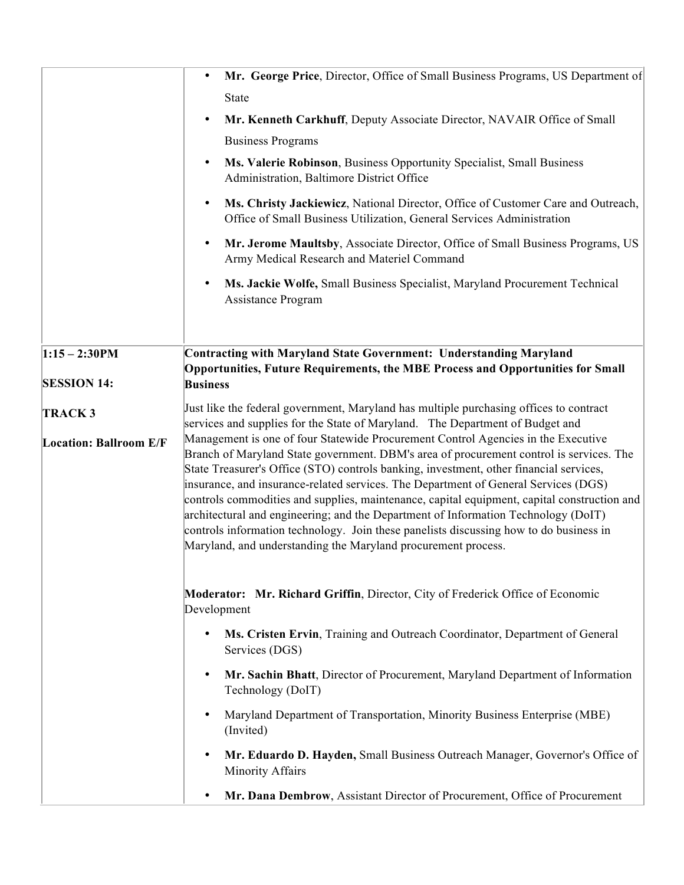|                               | Mr. George Price, Director, Office of Small Business Programs, US Department of<br>State                                                                                                                                                                                                                                                                                                                                                                                                                                                                                                                                                                                                                      |
|-------------------------------|---------------------------------------------------------------------------------------------------------------------------------------------------------------------------------------------------------------------------------------------------------------------------------------------------------------------------------------------------------------------------------------------------------------------------------------------------------------------------------------------------------------------------------------------------------------------------------------------------------------------------------------------------------------------------------------------------------------|
|                               | Mr. Kenneth Carkhuff, Deputy Associate Director, NAVAIR Office of Small<br>$\bullet$                                                                                                                                                                                                                                                                                                                                                                                                                                                                                                                                                                                                                          |
|                               | <b>Business Programs</b>                                                                                                                                                                                                                                                                                                                                                                                                                                                                                                                                                                                                                                                                                      |
|                               | Ms. Valerie Robinson, Business Opportunity Specialist, Small Business<br>$\bullet$<br>Administration, Baltimore District Office                                                                                                                                                                                                                                                                                                                                                                                                                                                                                                                                                                               |
|                               | Ms. Christy Jackiewicz, National Director, Office of Customer Care and Outreach,<br>$\bullet$<br>Office of Small Business Utilization, General Services Administration                                                                                                                                                                                                                                                                                                                                                                                                                                                                                                                                        |
|                               | Mr. Jerome Maultsby, Associate Director, Office of Small Business Programs, US<br>$\bullet$<br>Army Medical Research and Materiel Command                                                                                                                                                                                                                                                                                                                                                                                                                                                                                                                                                                     |
|                               | Ms. Jackie Wolfe, Small Business Specialist, Maryland Procurement Technical<br>Assistance Program                                                                                                                                                                                                                                                                                                                                                                                                                                                                                                                                                                                                             |
|                               |                                                                                                                                                                                                                                                                                                                                                                                                                                                                                                                                                                                                                                                                                                               |
| $1:15 - 2:30PM$               | Contracting with Maryland State Government: Understanding Maryland                                                                                                                                                                                                                                                                                                                                                                                                                                                                                                                                                                                                                                            |
|                               | <b>Opportunities, Future Requirements, the MBE Process and Opportunities for Small</b>                                                                                                                                                                                                                                                                                                                                                                                                                                                                                                                                                                                                                        |
| <b>SESSION 14:</b>            | <b>Business</b>                                                                                                                                                                                                                                                                                                                                                                                                                                                                                                                                                                                                                                                                                               |
| TRACK <sub>3</sub>            | Just like the federal government, Maryland has multiple purchasing offices to contract<br>services and supplies for the State of Maryland. The Department of Budget and                                                                                                                                                                                                                                                                                                                                                                                                                                                                                                                                       |
| <b>Location: Ballroom E/F</b> | Management is one of four Statewide Procurement Control Agencies in the Executive<br>Branch of Maryland State government. DBM's area of procurement control is services. The<br>State Treasurer's Office (STO) controls banking, investment, other financial services,<br>insurance, and insurance-related services. The Department of General Services (DGS)<br>controls commodities and supplies, maintenance, capital equipment, capital construction and<br>architectural and engineering; and the Department of Information Technology (DoIT)<br>controls information technology. Join these panelists discussing how to do business in<br>Maryland, and understanding the Maryland procurement process. |
|                               | Moderator: Mr. Richard Griffin, Director, City of Frederick Office of Economic<br>Development                                                                                                                                                                                                                                                                                                                                                                                                                                                                                                                                                                                                                 |
|                               | Ms. Cristen Ervin, Training and Outreach Coordinator, Department of General<br>$\bullet$<br>Services (DGS)                                                                                                                                                                                                                                                                                                                                                                                                                                                                                                                                                                                                    |
|                               | Mr. Sachin Bhatt, Director of Procurement, Maryland Department of Information<br>Technology (DoIT)                                                                                                                                                                                                                                                                                                                                                                                                                                                                                                                                                                                                            |
|                               | Maryland Department of Transportation, Minority Business Enterprise (MBE)<br>(Invited)                                                                                                                                                                                                                                                                                                                                                                                                                                                                                                                                                                                                                        |
|                               | Mr. Eduardo D. Hayden, Small Business Outreach Manager, Governor's Office of<br>Minority Affairs                                                                                                                                                                                                                                                                                                                                                                                                                                                                                                                                                                                                              |
|                               | Mr. Dana Dembrow, Assistant Director of Procurement, Office of Procurement                                                                                                                                                                                                                                                                                                                                                                                                                                                                                                                                                                                                                                    |